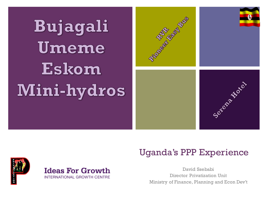**Bujagali** Umeme Eskom Mini-hydros



#### Uganda's PPP Experience

**Ideas For Growth INTERNATIONAL GROWTH CENTRE** 

David Ssebabi Director Privatization Unit Ministry of Finance, Planning and Econ Dev't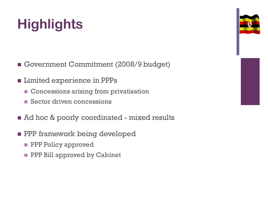# **Highlights**

Government Commitment (2008/9 budget)

- **E** Limited experience in PPPs
	- **Concessions arising from privatisation**
	- Sector driven concessions
- Ad hoc & poorly coordinated mixed results
- **PPP** framework being developed
	- **PPP Policy approved**
	- **PPP Bill approved by Cabinet**



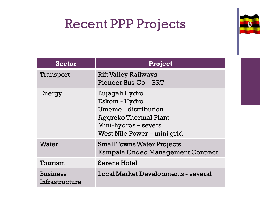### Recent PPP Projects



| <b>Sector</b>                     | <b>Project</b>                                                                                                                         |
|-----------------------------------|----------------------------------------------------------------------------------------------------------------------------------------|
| Transport                         | <b>Rift Valley Railways</b><br>Pioneer Bus Co - BRT                                                                                    |
| Energy                            | Bujagali Hydro<br>Eskom - Hydro<br>Umeme - distribution<br>Aggreko Thermal Plant<br>Mini-hydros-several<br>West Nile Power – mini grid |
| Water                             | <b>Small Towns Water Projects</b><br>Kampala Ondeo Management Contract                                                                 |
| Tourism                           | Serena Hotel                                                                                                                           |
| <b>Business</b><br>Infrastructure | Local Market Developments - several                                                                                                    |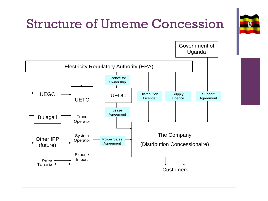

## Structure of Umeme Concession

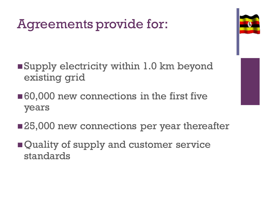## Agreements provide for:



- ■Supply electricity within 1.0 km beyond existing grid
- ■60,000 new connections in the first five years
- ■25,000 new connections per year thereafter
- **Quality of supply and customer service** standards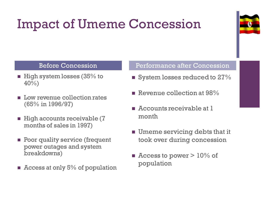# Impact of Umeme Concession



- $\blacksquare$  High system losses (35% to 40%)
- **Low revenue collection rates** (65% in 1996/97)
- $\blacksquare$  High accounts receivable (7 months of sales in 1997)
- **Poor quality service (frequent** power outages and system breakdowns)
- $\blacksquare$  Access at only 5% of population

#### Before Concession **Performance after Concession**

- **System losses reduced to 27%**
- Revenue collection at 98%
- Accounts receivable at 1 month
- **Umeme servicing debts that it** took over during concession
- $\blacksquare$  Access to power  $>10\%$  of population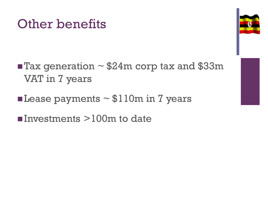#### Other benefits



- $\blacksquare$  Tax generation ~ \$24m corp tax and \$33m VAT in 7 years
- Lease payments  $\sim$  \$110m in 7 years
- $\blacksquare$ Investments  $>100$ m to date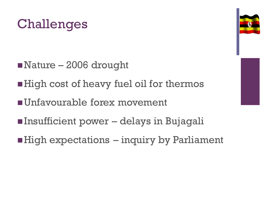

- Nature 2006 drought
- High cost of heavy fuel oil for thermos
- Unfavourable forex movement
- Insufficient power delays in Bujagali
- $\blacksquare$  High expectations  $-$  inquiry by Parliament

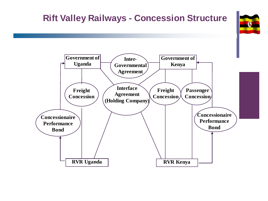#### **Rift Valley Railways - Concession Structure**



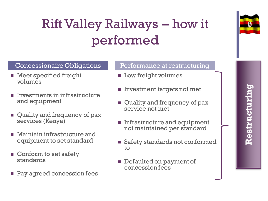# Rift Valley Railways – how it performed



- **Meet specified freight** volumes
- Investments in infrastructure and equipment
- **Quality and frequency of pax** services (Kenya)
- **Naintain infrastructure and** equipment to set standard
- Conform to set safety standards
- Pay agreed concession fees

#### Concessionaire Obligations Performance at restructuring

- **Low freight volumes**
- **Investment targets not met**
- Quality and frequency of pax service not met
- **Infrastructure and equipment** not maintained per standard
- Safety standards not conformed to
- Defaulted on payment of concession fees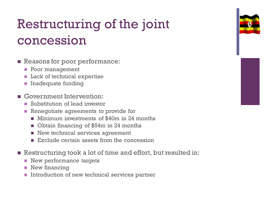

# Restructuring of the joint concession

- Reasons for poor performance:
	- **Poor management**
	- **Lack of technical expertise**
	- **Inadequate funding**
- Government Intervention:
	- Substitution of lead investor
	- Renegotiate agreements to provide for
		- **Minimum investments of \$40m in 24 months**
		- Obtain financing of \$54m in 24 months
		- New technical services agreement
		- $\blacksquare$  Exclude certain assets from the concession
- **E** Restructuring took a lot of time and effort, but resulted in:
	- New performance targets
	- **New financing**
	- Introduction of new technical services partner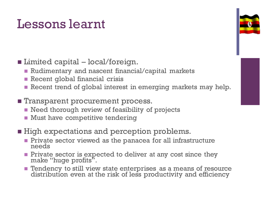#### Lessons learnt

- Limited capital local/foreign.
	- Rudimentary and nascent financial/capital markets
	- Recent global financial crisis
	- Recent trend of global interest in emerging markets may help.
- **Transparent procurement process.** 
	- Need thorough review of feasibility of projects
	- **Must have competitive tendering**
- **High expectations and perception problems.** 
	- **Private sector viewed as the panacea for all infrastructure** needs
	- **Private sector is expected to deliver at any cost since they** make "huge profits".
	- Tendency to still view state enterprises as a means of resource distribution even at the risk of less productivity and efficiency

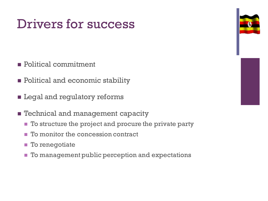### Drivers for success

- **Political commitment**
- **Political and economic stability**
- **E** Legal and regulatory reforms
- **Exercise 1 Pechnical and management capacity** 
	- To structure the project and procure the private party
	- $\blacksquare$  To monitor the concession contract
	- **To renegotiate**
	- **To management public perception and expectations**



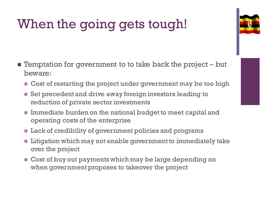# When the going gets tough!

- **Temptation for government to to take back the project but** beware:
	- **Cost of restarting the project under government may be too high**
	- Set precedent and drive away foreign investors leading to reduction of private sector investments
	- Immediate burden on the national budget to meet capital and operating costs of the enterprise
	- **Lack of credibility of government policies and programs**
	- **Litigation which may not enable government to immediately take** over the project
	- **Cost of buy out payments which may be large depending on** when government proposes to takeover the project

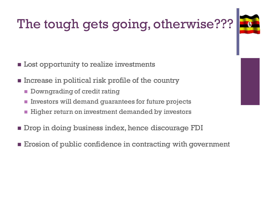# The tough gets going, otherwise???



- **Lost opportunity to realize investments**
- **Example 1** Increase in political risk profile of the country
	- **Downgrading of credit rating**
	- Investors will demand guarantees for future projects
	- **Higher return on investment demanded by investors**
- **Drop in doing business index, hence discourage FDI**
- Erosion of public confidence in contracting with government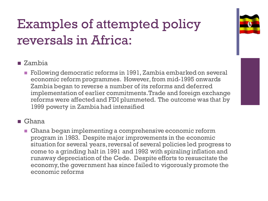## Examples of attempted policy reversals in Africa:

#### ■ Zambia

**Following democratic reforms in 1991, Zambia embarked on several** economic reform programmes. However, from mid-1995 onwards Zambia began to reverse a number of its reforms and deferred implementation of earlier commitments. Trade and foreign exchange reforms were affected and FDI plummeted. The outcome was that by 1999 poverty in Zambia had intensified

#### ■ Ghana

Ghana began implementing a comprehensive economic reform program in 1983. Despite major improvements in the economic situation for several years, reversal of several policies led progress to come to a grinding halt in 1991 and 1992 with spiraling inflation and runaway depreciation of the Cede. Despite efforts to resuscitate the economy, the government has since failed to vigorously promote the economic reforms

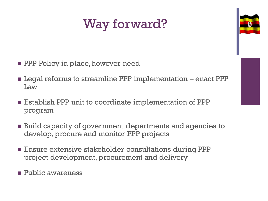## Way forward?



- **PPP** Policy in place, however need
- **Example 1** Legal reforms to streamline PPP implementation enact PPP Law
- **E** Establish PPP unit to coordinate implementation of PPP program
- Build capacity of government departments and agencies to develop, procure and monitor PPP projects
- **Ensure extensive stakeholder consultations during PPP** project development, procurement and delivery
- **Public awareness**